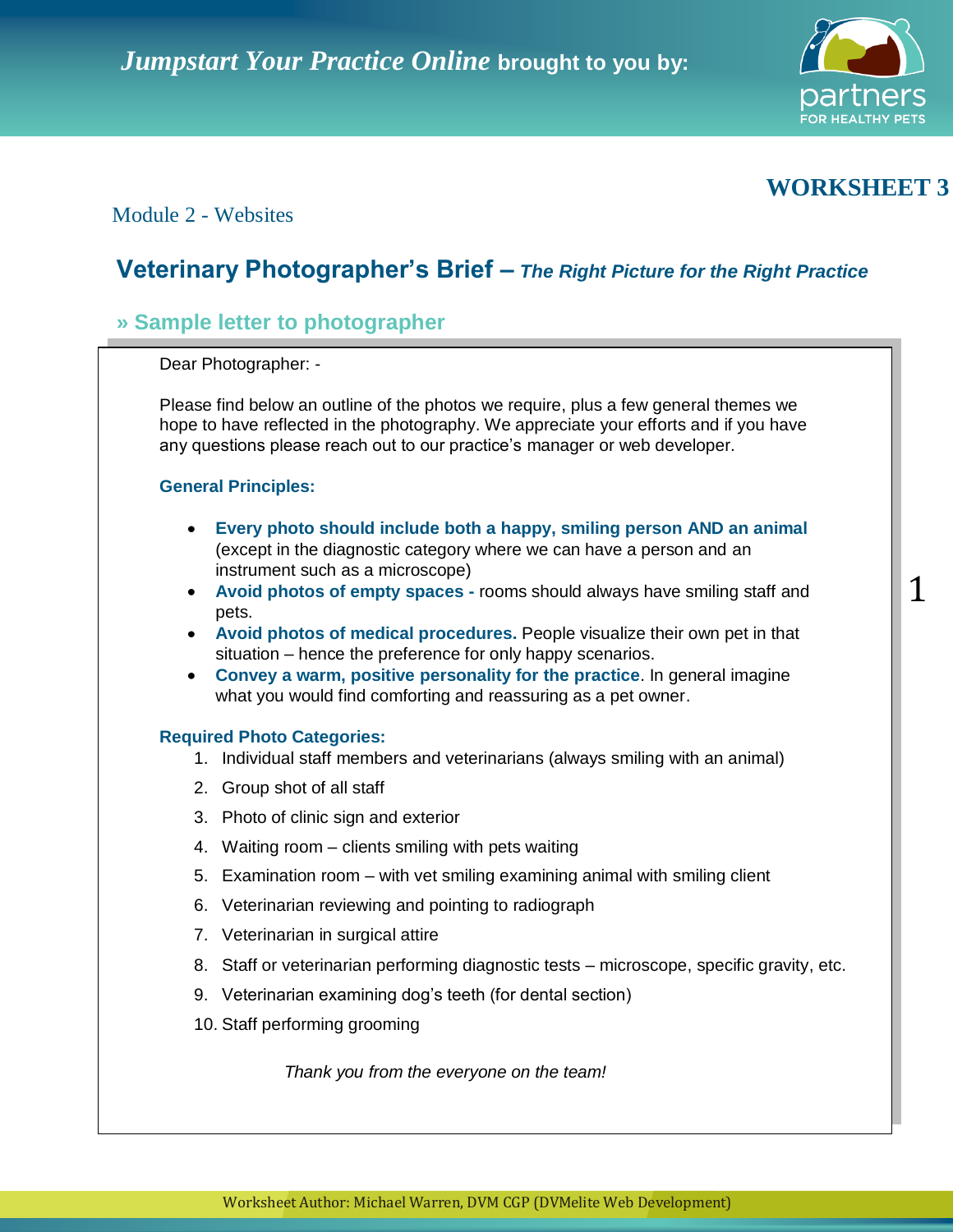

# **WORKSHEET 3**

1

## Module 2 - Websites

# **Veterinary Photographer's Brief –** *The Right Picture for the Right Practice*

# **» Sample letter to photographer**

Dear Photographer: - Please find below an outline of the photos we require and a few photos we require and a few photos we require and a few photos we require and a few photos we require and a few photos we require and a f

Please find below an outline of the photos we require, plus a few general themes we hope to have reflected in the photography. We appreciate your efforts and if you have any questions please reach out to our practice's manager or web developer.

### **General Principles:**

- Every photo should include both a happy, smiling person AND an animal (except in the diagnostic category where we can have a person and an instrument such as a microscope) **instrument such as a microscope**
- Avoid photos of empty spaces rooms should always have smiling staff and **Avoid photos of medical procedures.** Pet in the interview of medical procedures of  $\mathbf{r}$  own per intervention that  $\mathbf{r}$  is a set in that  $\mathbf{r}$  is a set in that  $\mathbf{r}$  is a set in that  $\mathbf{r}$  is a set in that pets.
- Avoid photos of medical procedures. People visualize their own pet in that situation – hence the preference for only happy scenarios.
- **Convey a warm, positive personality for the practice. In general imagine** what you would find comforting and reassuring as a pet owner.

## 1. Individual staff members and veterinarians (always smiling with an animal) **Required Photo Categories:**

- 1. Individual staff members and veterinarians (always smiling with an animal)
- 2. Group shot of all staff
- 3. Photo of clinic sign and exterior
- 4. Waiting room clients smiling with pets waiting
- 5. Examination room with vet smiling examining animal with smiling client
- 6. Veterinarian reviewing and pointing to radiograph
- 7. Staff or veterinarian in surgical attire etc. The specific gravity, etc. The specific gravity, etc. The specific gravity, etc.
- 8. Staff or veterinarian performing diagnostic tests microscope, specific gravity, etc.
- 9. Veterinarian examining dog's teeth (for dental section)
- 10. Staff performing grooming

*Thank you from the everyone on the team!*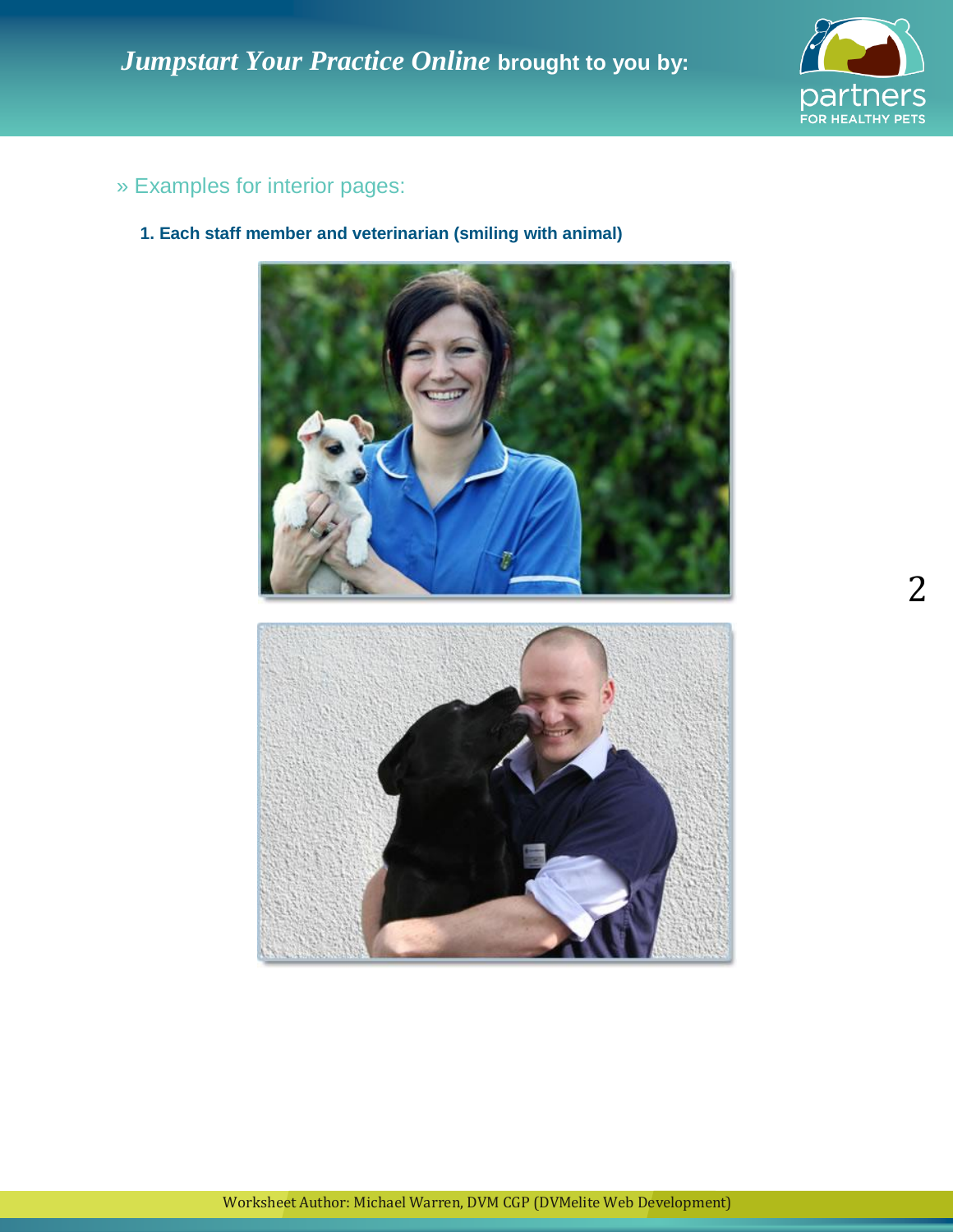

# » Examples for interior pages:

**1. Each staff member and veterinarian (smiling with animal)**

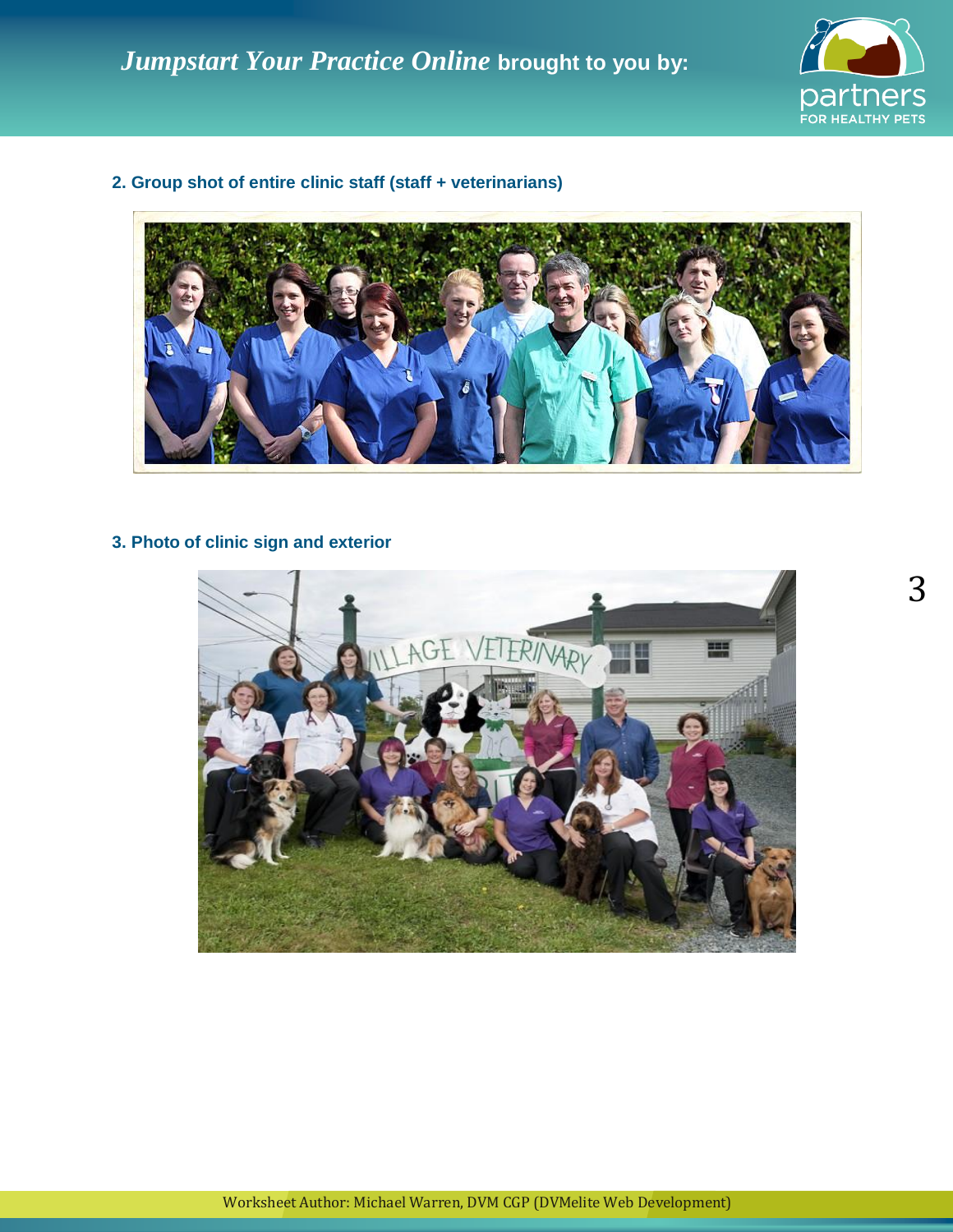

**2. Group shot of entire clinic staff (staff + veterinarians)**



## **3. Photo of clinic sign and exterior**

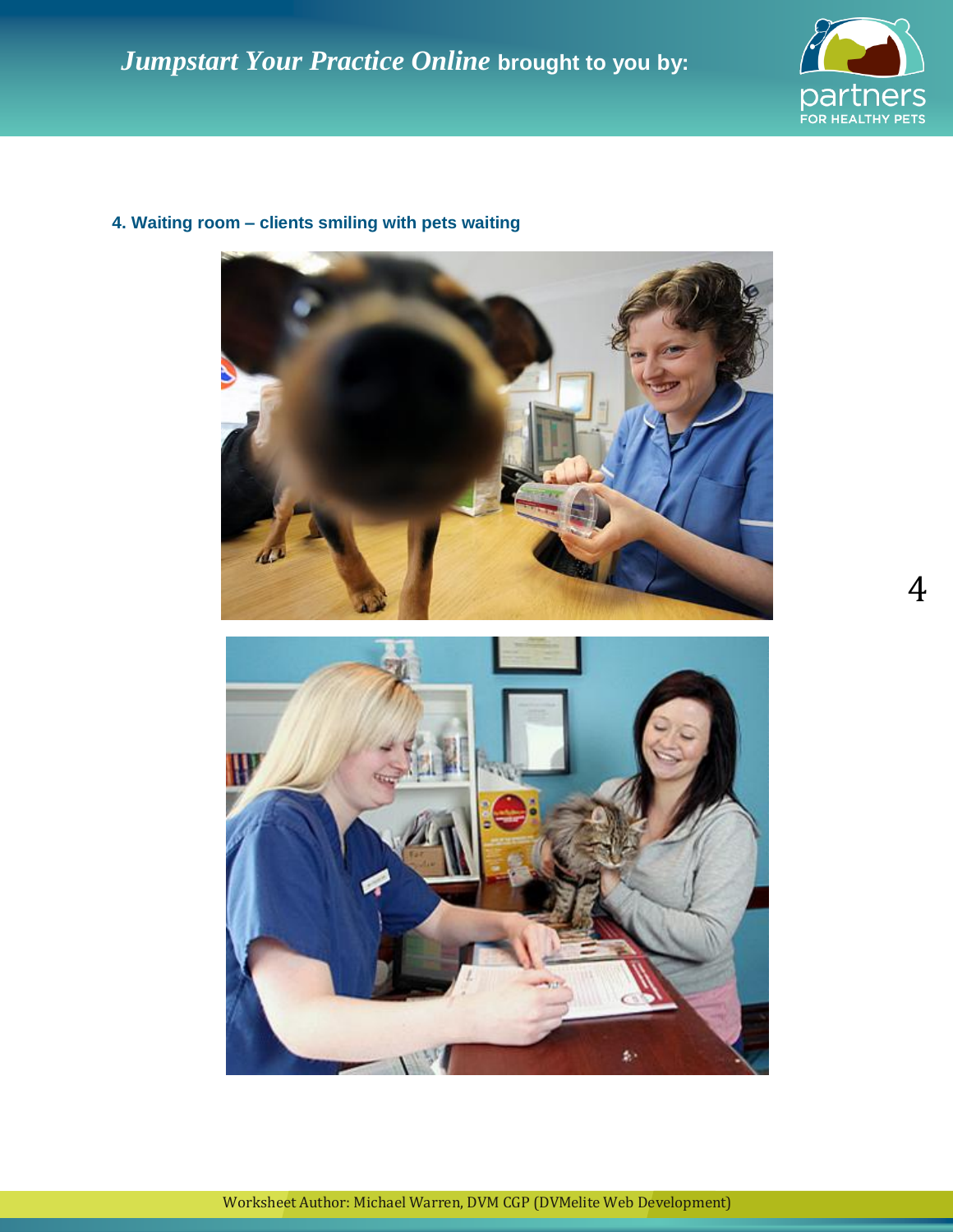

4

# щ ź.

# **4. Waiting room – clients smiling with pets waiting**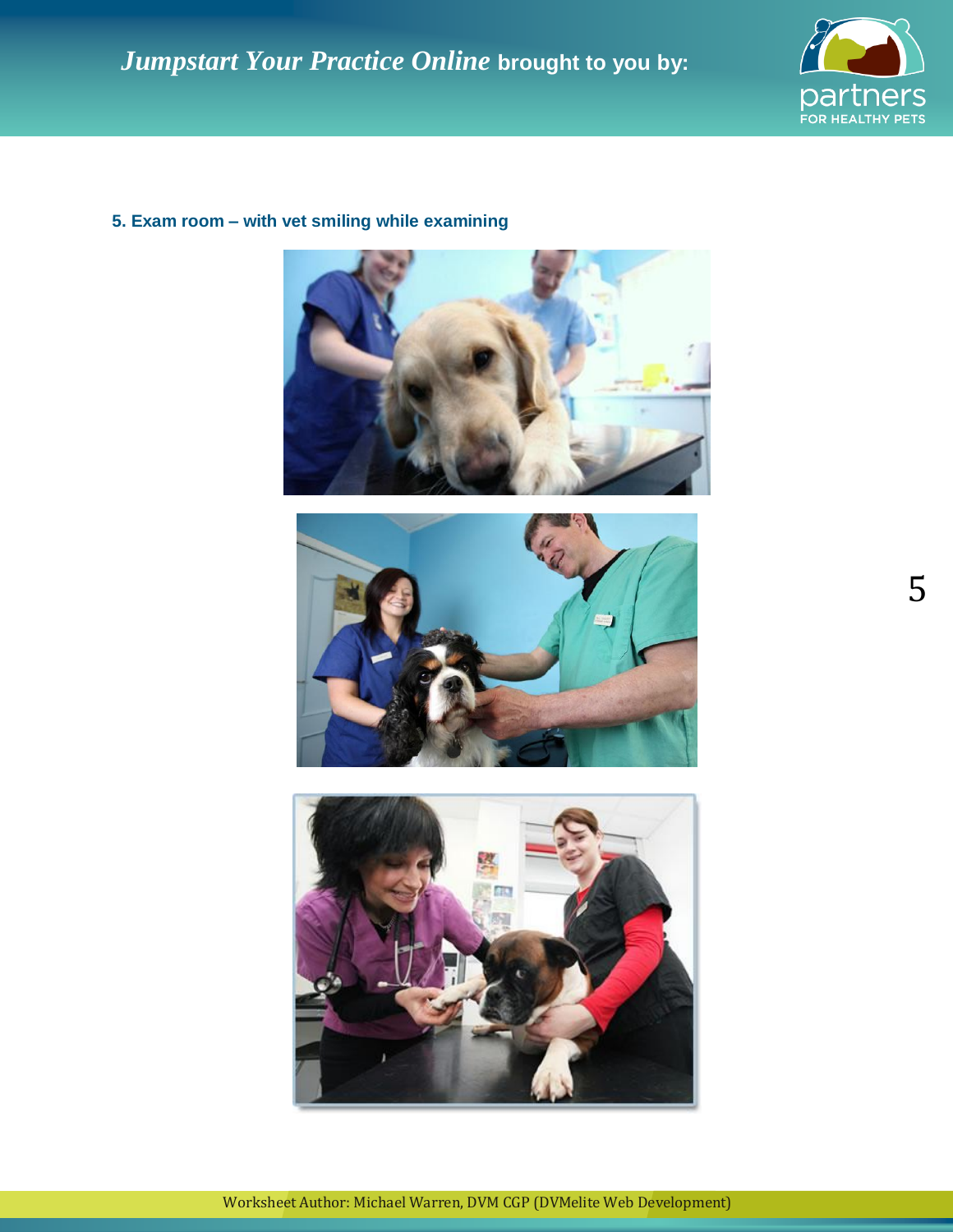

## **5. Exam room – with vet smiling while examining**





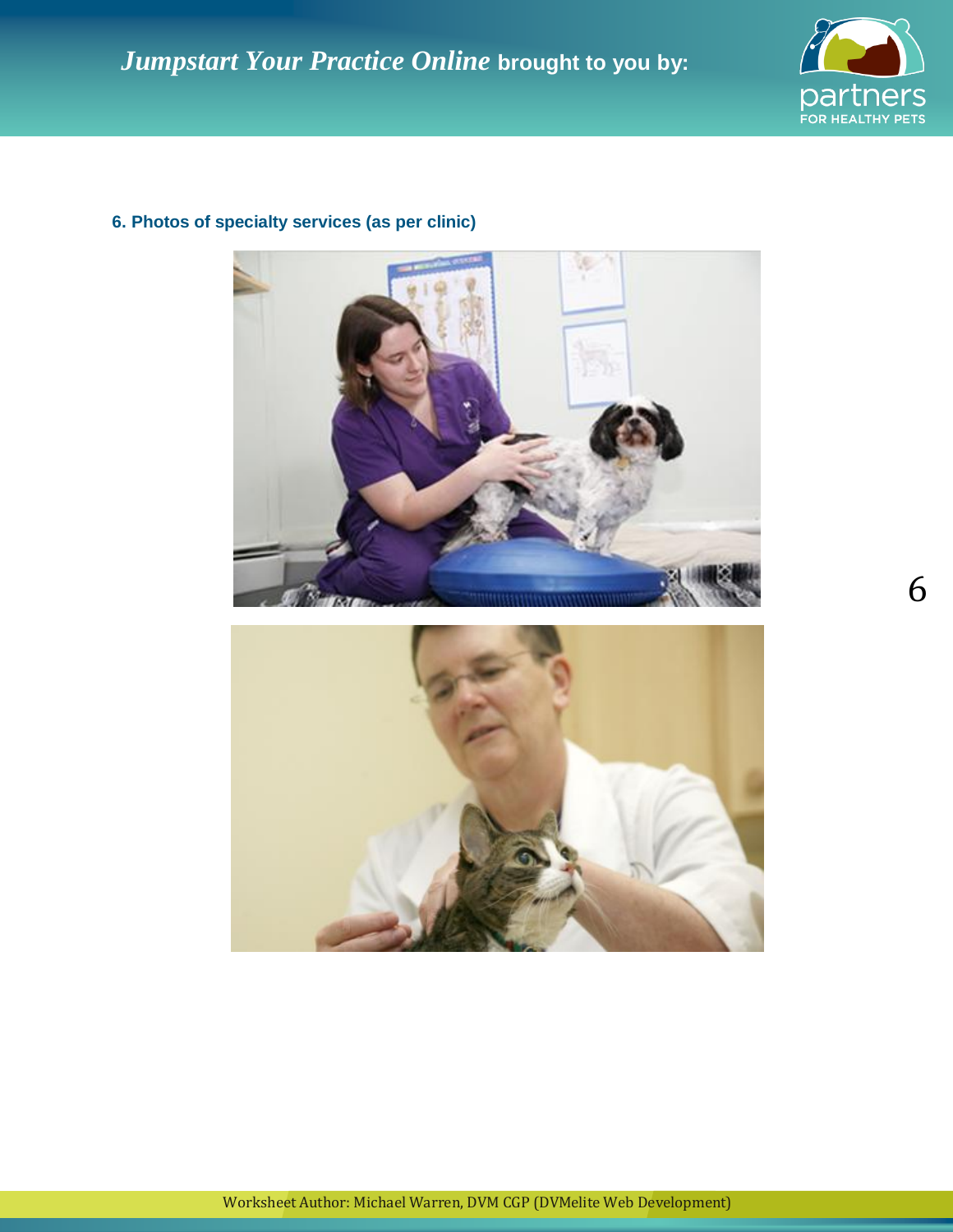

6



## **6. Photos of specialty services (as per clinic)**

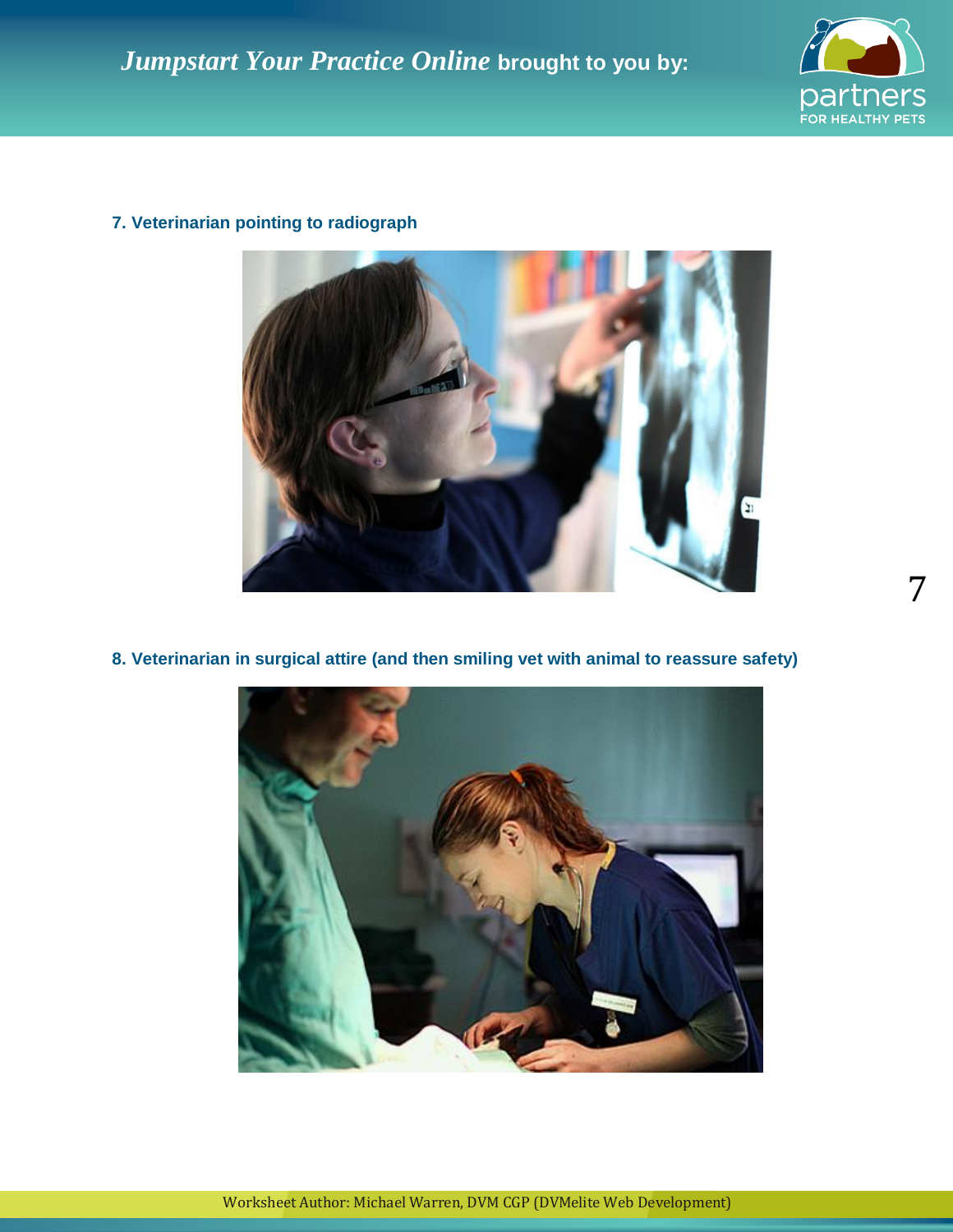



# **7. Veterinarian pointing to radiograph**

**8. Veterinarian in surgical attire (and then smiling vet with animal to reassure safety)**



7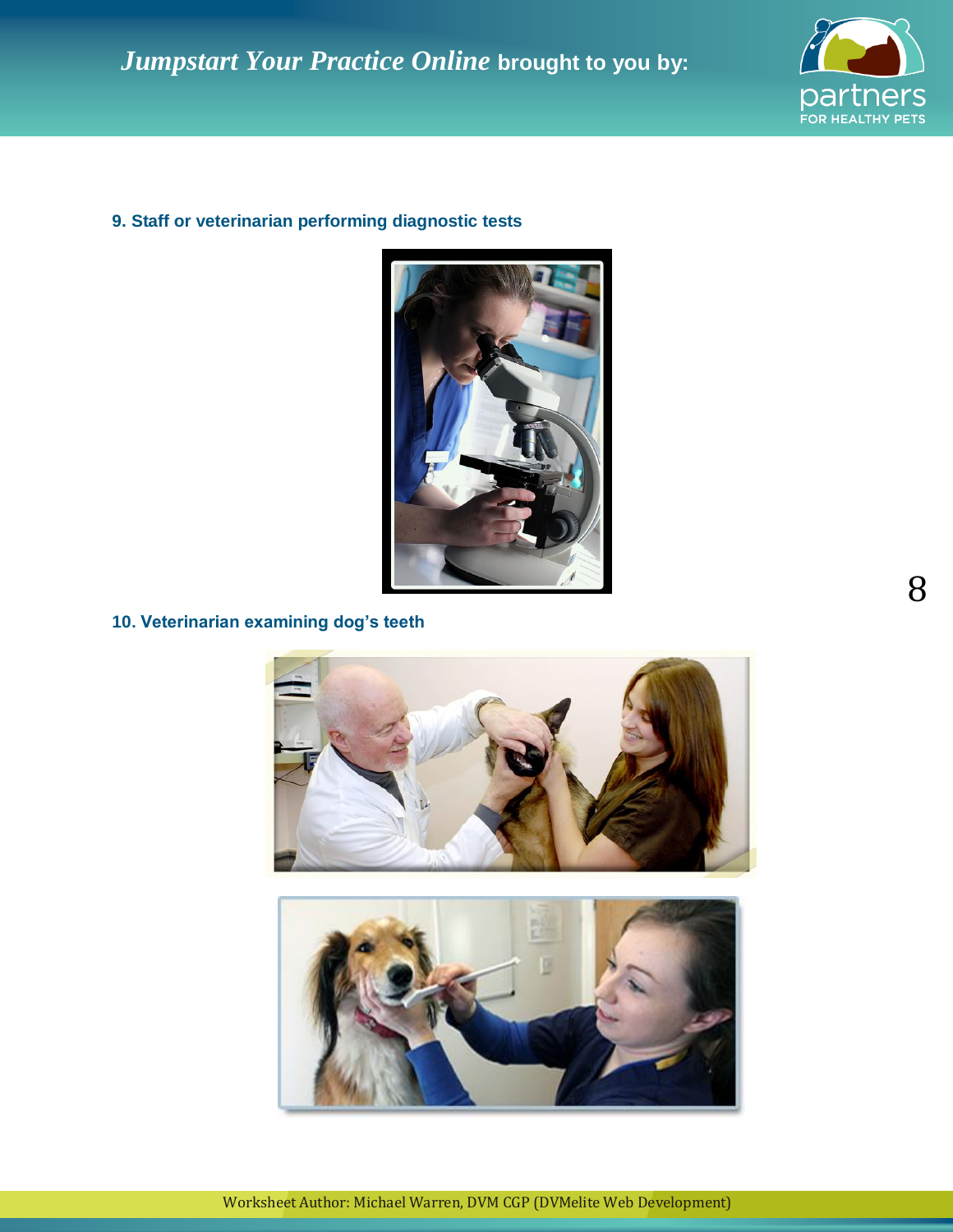

## **9. Staff or veterinarian performing diagnostic tests**



**10. Veterinarian examining dog's teeth**